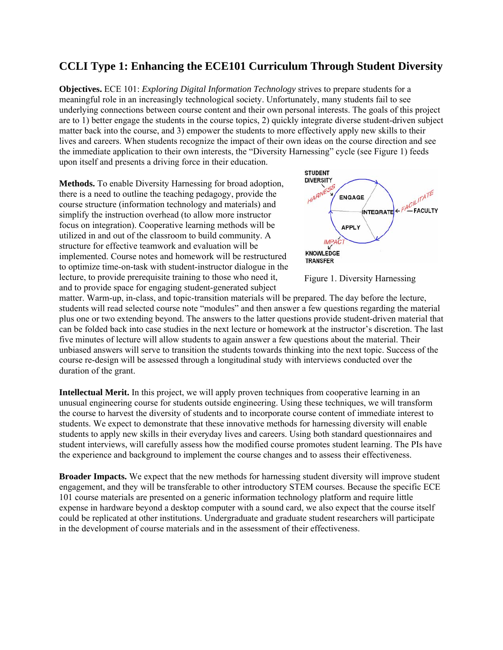# **CCLI Type 1: Enhancing the ECE101 Curriculum Through Student Diversity**

**Objectives.** ECE 101: *Exploring Digital Information Technology* strives to prepare students for a meaningful role in an increasingly technological society. Unfortunately, many students fail to see underlying connections between course content and their own personal interests. The goals of this project are to 1) better engage the students in the course topics, 2) quickly integrate diverse student-driven subject matter back into the course, and 3) empower the students to more effectively apply new skills to their lives and careers. When students recognize the impact of their own ideas on the course direction and see the immediate application to their own interests, the "Diversity Harnessing" cycle (see Figure 1) feeds upon itself and presents a driving force in their education.

**Methods.** To enable Diversity Harnessing for broad adoption, there is a need to outline the teaching pedagogy, provide the course structure (information technology and materials) and simplify the instruction overhead (to allow more instructor focus on integration). Cooperative learning methods will be utilized in and out of the classroom to build community. A structure for effective teamwork and evaluation will be implemented. Course notes and homework will be restructured to optimize time-on-task with student-instructor dialogue in the lecture, to provide prerequisite training to those who need it, and to provide space for engaging student-generated subject



Figure 1. Diversity Harnessing

matter. Warm-up, in-class, and topic-transition materials will be prepared. The day before the lecture, students will read selected course note "modules" and then answer a few questions regarding the material plus one or two extending beyond. The answers to the latter questions provide student-driven material that can be folded back into case studies in the next lecture or homework at the instructor's discretion. The last five minutes of lecture will allow students to again answer a few questions about the material. Their unbiased answers will serve to transition the students towards thinking into the next topic. Success of the course re-design will be assessed through a longitudinal study with interviews conducted over the duration of the grant.

**Intellectual Merit.** In this project, we will apply proven techniques from cooperative learning in an unusual engineering course for students outside engineering. Using these techniques, we will transform the course to harvest the diversity of students and to incorporate course content of immediate interest to students. We expect to demonstrate that these innovative methods for harnessing diversity will enable students to apply new skills in their everyday lives and careers. Using both standard questionnaires and student interviews, will carefully assess how the modified course promotes student learning. The PIs have the experience and background to implement the course changes and to assess their effectiveness.

**Broader Impacts.** We expect that the new methods for harnessing student diversity will improve student engagement, and they will be transferable to other introductory STEM courses. Because the specific ECE 101 course materials are presented on a generic information technology platform and require little expense in hardware beyond a desktop computer with a sound card, we also expect that the course itself could be replicated at other institutions. Undergraduate and graduate student researchers will participate in the development of course materials and in the assessment of their effectiveness.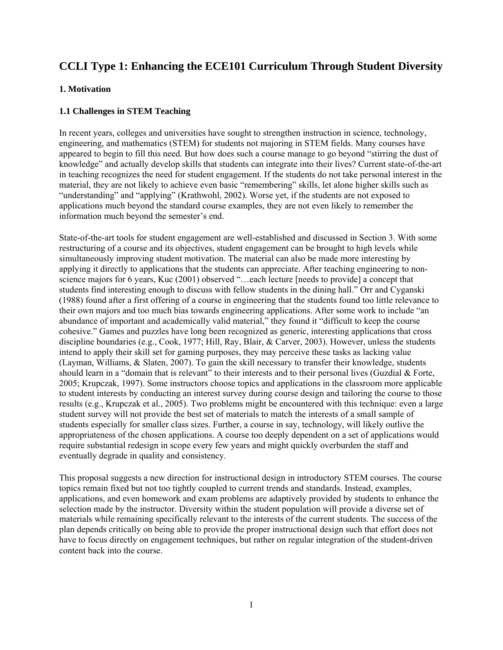# **CCLI Type 1: Enhancing the ECE101 Curriculum Through Student Diversity**

## **1. Motivation**

# **1.1 Challenges in STEM Teaching**

In recent years, colleges and universities have sought to strengthen instruction in science, technology, engineering, and mathematics (STEM) for students not majoring in STEM fields. Many courses have appeared to begin to fill this need. But how does such a course manage to go beyond "stirring the dust of knowledge" and actually develop skills that students can integrate into their lives? Current state-of-the-art in teaching recognizes the need for student engagement. If the students do not take personal interest in the material, they are not likely to achieve even basic "remembering" skills, let alone higher skills such as "understanding" and "applying" (Krathwohl, 2002). Worse yet, if the students are not exposed to applications much beyond the standard course examples, they are not even likely to remember the information much beyond the semester's end.

State-of-the-art tools for student engagement are well-established and discussed in Section 3. With some restructuring of a course and its objectives, student engagement can be brought to high levels while simultaneously improving student motivation. The material can also be made more interesting by applying it directly to applications that the students can appreciate. After teaching engineering to nonscience majors for 6 years, Kuc (2001) observed "…each lecture [needs to provide] a concept that students find interesting enough to discuss with fellow students in the dining hall." Orr and Cyganski (1988) found after a first offering of a course in engineering that the students found too little relevance to their own majors and too much bias towards engineering applications. After some work to include "an abundance of important and academically valid material," they found it "difficult to keep the course cohesive." Games and puzzles have long been recognized as generic, interesting applications that cross discipline boundaries (e.g., Cook, 1977; Hill, Ray, Blair, & Carver, 2003). However, unless the students intend to apply their skill set for gaming purposes, they may perceive these tasks as lacking value (Layman, Williams, & Slaten, 2007). To gain the skill necessary to transfer their knowledge, students should learn in a "domain that is relevant" to their interests and to their personal lives (Guzdial & Forte, 2005; Krupczak, 1997). Some instructors choose topics and applications in the classroom more applicable to student interests by conducting an interest survey during course design and tailoring the course to those results (e.g., Krupczak et al., 2005). Two problems might be encountered with this technique: even a large student survey will not provide the best set of materials to match the interests of a small sample of students especially for smaller class sizes. Further, a course in say, technology, will likely outlive the appropriateness of the chosen applications. A course too deeply dependent on a set of applications would require substantial redesign in scope every few years and might quickly overburden the staff and eventually degrade in quality and consistency.

This proposal suggests a new direction for instructional design in introductory STEM courses. The course topics remain fixed but not too tightly coupled to current trends and standards. Instead, examples, applications, and even homework and exam problems are adaptively provided by students to enhance the selection made by the instructor. Diversity within the student population will provide a diverse set of materials while remaining specifically relevant to the interests of the current students. The success of the plan depends critically on being able to provide the proper instructional design such that effort does not have to focus directly on engagement techniques, but rather on regular integration of the student-driven content back into the course.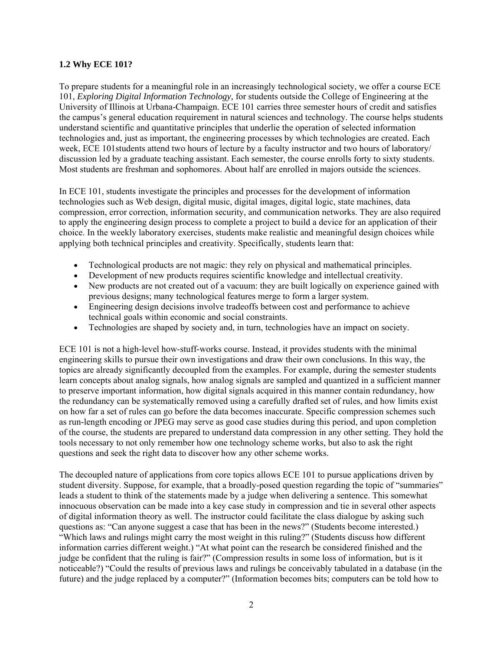#### **1.2 Why ECE 101?**

To prepare students for a meaningful role in an increasingly technological society, we offer a course ECE 101, *Exploring Digital Information Technology,* for students outside the College of Engineering at the University of Illinois at Urbana-Champaign. ECE 101 carries three semester hours of credit and satisfies the campus's general education requirement in natural sciences and technology. The course helps students understand scientific and quantitative principles that underlie the operation of selected information technologies and, just as important, the engineering processes by which technologies are created. Each week, ECE 101students attend two hours of lecture by a faculty instructor and two hours of laboratory/ discussion led by a graduate teaching assistant. Each semester, the course enrolls forty to sixty students. Most students are freshman and sophomores. About half are enrolled in majors outside the sciences.

In ECE 101, students investigate the principles and processes for the development of information technologies such as Web design, digital music, digital images, digital logic, state machines, data compression, error correction, information security, and communication networks. They are also required to apply the engineering design process to complete a project to build a device for an application of their choice. In the weekly laboratory exercises, students make realistic and meaningful design choices while applying both technical principles and creativity. Specifically, students learn that:

- Technological products are not magic: they rely on physical and mathematical principles.
- Development of new products requires scientific knowledge and intellectual creativity.
- New products are not created out of a vacuum: they are built logically on experience gained with previous designs; many technological features merge to form a larger system.
- Engineering design decisions involve tradeoffs between cost and performance to achieve technical goals within economic and social constraints.
- Technologies are shaped by society and, in turn, technologies have an impact on society.

ECE 101 is not a high-level how-stuff-works course. Instead, it provides students with the minimal engineering skills to pursue their own investigations and draw their own conclusions. In this way, the topics are already significantly decoupled from the examples. For example, during the semester students learn concepts about analog signals, how analog signals are sampled and quantized in a sufficient manner to preserve important information, how digital signals acquired in this manner contain redundancy, how the redundancy can be systematically removed using a carefully drafted set of rules, and how limits exist on how far a set of rules can go before the data becomes inaccurate. Specific compression schemes such as run-length encoding or JPEG may serve as good case studies during this period, and upon completion of the course, the students are prepared to understand data compression in any other setting. They hold the tools necessary to not only remember how one technology scheme works, but also to ask the right questions and seek the right data to discover how any other scheme works.

The decoupled nature of applications from core topics allows ECE 101 to pursue applications driven by student diversity. Suppose, for example, that a broadly-posed question regarding the topic of "summaries" leads a student to think of the statements made by a judge when delivering a sentence. This somewhat innocuous observation can be made into a key case study in compression and tie in several other aspects of digital information theory as well. The instructor could facilitate the class dialogue by asking such questions as: "Can anyone suggest a case that has been in the news?" (Students become interested.) "Which laws and rulings might carry the most weight in this ruling?" (Students discuss how different information carries different weight.) "At what point can the research be considered finished and the judge be confident that the ruling is fair?" (Compression results in some loss of information, but is it noticeable?) "Could the results of previous laws and rulings be conceivably tabulated in a database (in the future) and the judge replaced by a computer?" (Information becomes bits; computers can be told how to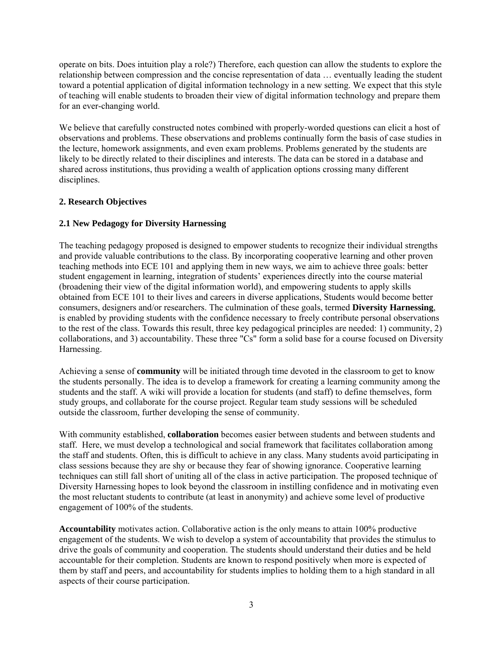operate on bits. Does intuition play a role?) Therefore, each question can allow the students to explore the relationship between compression and the concise representation of data … eventually leading the student toward a potential application of digital information technology in a new setting. We expect that this style of teaching will enable students to broaden their view of digital information technology and prepare them for an ever-changing world.

We believe that carefully constructed notes combined with properly-worded questions can elicit a host of observations and problems. These observations and problems continually form the basis of case studies in the lecture, homework assignments, and even exam problems. Problems generated by the students are likely to be directly related to their disciplines and interests. The data can be stored in a database and shared across institutions, thus providing a wealth of application options crossing many different disciplines.

# **2. Research Objectives**

# **2.1 New Pedagogy for Diversity Harnessing**

The teaching pedagogy proposed is designed to empower students to recognize their individual strengths and provide valuable contributions to the class. By incorporating cooperative learning and other proven teaching methods into ECE 101 and applying them in new ways, we aim to achieve three goals: better student engagement in learning, integration of students' experiences directly into the course material (broadening their view of the digital information world), and empowering students to apply skills obtained from ECE 101 to their lives and careers in diverse applications, Students would become better consumers, designers and/or researchers. The culmination of these goals, termed **Diversity Harnessing**, is enabled by providing students with the confidence necessary to freely contribute personal observations to the rest of the class. Towards this result, three key pedagogical principles are needed: 1) community, 2) collaborations, and 3) accountability. These three "Cs" form a solid base for a course focused on Diversity Harnessing.

Achieving a sense of **community** will be initiated through time devoted in the classroom to get to know the students personally. The idea is to develop a framework for creating a learning community among the students and the staff. A wiki will provide a location for students (and staff) to define themselves, form study groups, and collaborate for the course project. Regular team study sessions will be scheduled outside the classroom, further developing the sense of community.

With community established, **collaboration** becomes easier between students and between students and staff. Here, we must develop a technological and social framework that facilitates collaboration among the staff and students. Often, this is difficult to achieve in any class. Many students avoid participating in class sessions because they are shy or because they fear of showing ignorance. Cooperative learning techniques can still fall short of uniting all of the class in active participation. The proposed technique of Diversity Harnessing hopes to look beyond the classroom in instilling confidence and in motivating even the most reluctant students to contribute (at least in anonymity) and achieve some level of productive engagement of 100% of the students.

**Accountability** motivates action. Collaborative action is the only means to attain 100% productive engagement of the students. We wish to develop a system of accountability that provides the stimulus to drive the goals of community and cooperation. The students should understand their duties and be held accountable for their completion. Students are known to respond positively when more is expected of them by staff and peers, and accountability for students implies to holding them to a high standard in all aspects of their course participation.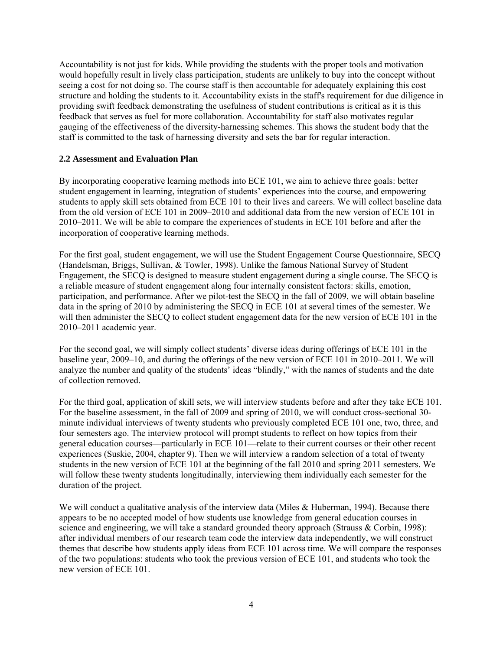Accountability is not just for kids. While providing the students with the proper tools and motivation would hopefully result in lively class participation, students are unlikely to buy into the concept without seeing a cost for not doing so. The course staff is then accountable for adequately explaining this cost structure and holding the students to it. Accountability exists in the staff's requirement for due diligence in providing swift feedback demonstrating the usefulness of student contributions is critical as it is this feedback that serves as fuel for more collaboration. Accountability for staff also motivates regular gauging of the effectiveness of the diversity-harnessing schemes. This shows the student body that the staff is committed to the task of harnessing diversity and sets the bar for regular interaction.

#### **2.2 Assessment and Evaluation Plan**

By incorporating cooperative learning methods into ECE 101, we aim to achieve three goals: better student engagement in learning, integration of students' experiences into the course, and empowering students to apply skill sets obtained from ECE 101 to their lives and careers. We will collect baseline data from the old version of ECE 101 in 2009–2010 and additional data from the new version of ECE 101 in 2010–2011. We will be able to compare the experiences of students in ECE 101 before and after the incorporation of cooperative learning methods.

For the first goal, student engagement, we will use the Student Engagement Course Questionnaire, SECQ (Handelsman, Briggs, Sullivan, & Towler, 1998). Unlike the famous National Survey of Student Engagement, the SECQ is designed to measure student engagement during a single course. The SECQ is a reliable measure of student engagement along four internally consistent factors: skills, emotion, participation, and performance. After we pilot-test the SECQ in the fall of 2009, we will obtain baseline data in the spring of 2010 by administering the SECQ in ECE 101 at several times of the semester. We will then administer the SECQ to collect student engagement data for the new version of ECE 101 in the 2010–2011 academic year.

For the second goal, we will simply collect students' diverse ideas during offerings of ECE 101 in the baseline year, 2009–10, and during the offerings of the new version of ECE 101 in 2010–2011. We will analyze the number and quality of the students' ideas "blindly," with the names of students and the date of collection removed.

For the third goal, application of skill sets, we will interview students before and after they take ECE 101. For the baseline assessment, in the fall of 2009 and spring of 2010, we will conduct cross-sectional 30 minute individual interviews of twenty students who previously completed ECE 101 one, two, three, and four semesters ago. The interview protocol will prompt students to reflect on how topics from their general education courses—particularly in ECE 101—relate to their current courses or their other recent experiences (Suskie, 2004, chapter 9). Then we will interview a random selection of a total of twenty students in the new version of ECE 101 at the beginning of the fall 2010 and spring 2011 semesters. We will follow these twenty students longitudinally, interviewing them individually each semester for the duration of the project.

We will conduct a qualitative analysis of the interview data (Miles & Huberman, 1994). Because there appears to be no accepted model of how students use knowledge from general education courses in science and engineering, we will take a standard grounded theory approach (Strauss & Corbin, 1998): after individual members of our research team code the interview data independently, we will construct themes that describe how students apply ideas from ECE 101 across time. We will compare the responses of the two populations: students who took the previous version of ECE 101, and students who took the new version of ECE 101.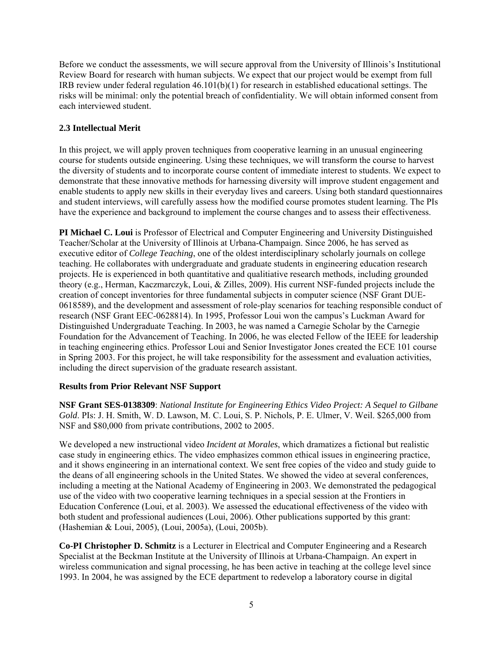Before we conduct the assessments, we will secure approval from the University of Illinois's Institutional Review Board for research with human subjects. We expect that our project would be exempt from full IRB review under federal regulation  $46.101(b)(1)$  for research in established educational settings. The risks will be minimal: only the potential breach of confidentiality. We will obtain informed consent from each interviewed student.

## **2.3 Intellectual Merit**

In this project, we will apply proven techniques from cooperative learning in an unusual engineering course for students outside engineering. Using these techniques, we will transform the course to harvest the diversity of students and to incorporate course content of immediate interest to students. We expect to demonstrate that these innovative methods for harnessing diversity will improve student engagement and enable students to apply new skills in their everyday lives and careers. Using both standard questionnaires and student interviews, will carefully assess how the modified course promotes student learning. The PIs have the experience and background to implement the course changes and to assess their effectiveness.

**PI Michael C. Loui** is Professor of Electrical and Computer Engineering and University Distinguished Teacher/Scholar at the University of Illinois at Urbana-Champaign. Since 2006, he has served as executive editor of *College Teaching*, one of the oldest interdisciplinary scholarly journals on college teaching. He collaborates with undergraduate and graduate students in engineering education research projects. He is experienced in both quantitative and qualitiative research methods, including grounded theory (e.g., Herman, Kaczmarczyk, Loui, & Zilles, 2009). His current NSF-funded projects include the creation of concept inventories for three fundamental subjects in computer science (NSF Grant DUE-0618589), and the development and assessment of role-play scenarios for teaching responsible conduct of research (NSF Grant EEC-0628814). In 1995, Professor Loui won the campus's Luckman Award for Distinguished Undergraduate Teaching. In 2003, he was named a Carnegie Scholar by the Carnegie Foundation for the Advancement of Teaching. In 2006, he was elected Fellow of the IEEE for leadership in teaching engineering ethics. Professor Loui and Senior Investigator Jones created the ECE 101 course in Spring 2003. For this project, he will take responsibility for the assessment and evaluation activities, including the direct supervision of the graduate research assistant.

# **Results from Prior Relevant NSF Support**

**NSF Grant SES-0138309**: *National Institute for Engineering Ethics Video Project: A Sequel to Gilbane Gold*. PIs: J. H. Smith, W. D. Lawson, M. C. Loui, S. P. Nichols, P. E. Ulmer, V. Weil. \$265,000 from NSF and \$80,000 from private contributions, 2002 to 2005.

We developed a new instructional video *Incident at Morales*, which dramatizes a fictional but realistic case study in engineering ethics. The video emphasizes common ethical issues in engineering practice, and it shows engineering in an international context. We sent free copies of the video and study guide to the deans of all engineering schools in the United States. We showed the video at several conferences, including a meeting at the National Academy of Engineering in 2003. We demonstrated the pedagogical use of the video with two cooperative learning techniques in a special session at the Frontiers in Education Conference (Loui, et al. 2003). We assessed the educational effectiveness of the video with both student and professional audiences (Loui, 2006). Other publications supported by this grant: (Hashemian & Loui, 2005), (Loui, 2005a), (Loui, 2005b).

**Co-PI Christopher D. Schmitz** is a Lecturer in Electrical and Computer Engineering and a Research Specialist at the Beckman Institute at the University of Illinois at Urbana-Champaign. An expert in wireless communication and signal processing, he has been active in teaching at the college level since 1993. In 2004, he was assigned by the ECE department to redevelop a laboratory course in digital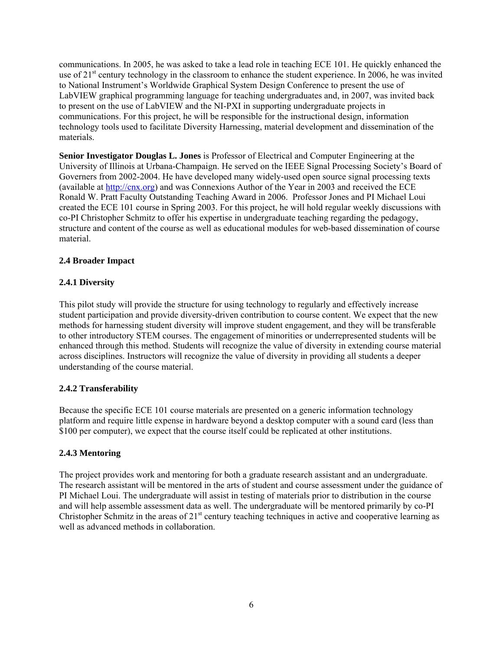communications. In 2005, he was asked to take a lead role in teaching ECE 101. He quickly enhanced the use of 21<sup>st</sup> century technology in the classroom to enhance the student experience. In 2006, he was invited to National Instrument's Worldwide Graphical System Design Conference to present the use of LabVIEW graphical programming language for teaching undergraduates and, in 2007, was invited back to present on the use of LabVIEW and the NI-PXI in supporting undergraduate projects in communications. For this project, he will be responsible for the instructional design, information technology tools used to facilitate Diversity Harnessing, material development and dissemination of the materials.

**Senior Investigator Douglas L. Jones** is Professor of Electrical and Computer Engineering at the University of Illinois at Urbana-Champaign. He served on the IEEE Signal Processing Society's Board of Governers from 2002-2004. He have developed many widely-used open source signal processing texts (available at http://cnx.org) and was Connexions Author of the Year in 2003 and received the ECE Ronald W. Pratt Faculty Outstanding Teaching Award in 2006. Professor Jones and PI Michael Loui created the ECE 101 course in Spring 2003. For this project, he will hold regular weekly discussions with co-PI Christopher Schmitz to offer his expertise in undergraduate teaching regarding the pedagogy, structure and content of the course as well as educational modules for web-based dissemination of course material.

#### **2.4 Broader Impact**

# **2.4.1 Diversity**

This pilot study will provide the structure for using technology to regularly and effectively increase student participation and provide diversity-driven contribution to course content. We expect that the new methods for harnessing student diversity will improve student engagement, and they will be transferable to other introductory STEM courses. The engagement of minorities or underrepresented students will be enhanced through this method. Students will recognize the value of diversity in extending course material across disciplines. Instructors will recognize the value of diversity in providing all students a deeper understanding of the course material.

#### **2.4.2 Transferability**

Because the specific ECE 101 course materials are presented on a generic information technology platform and require little expense in hardware beyond a desktop computer with a sound card (less than \$100 per computer), we expect that the course itself could be replicated at other institutions.

#### **2.4.3 Mentoring**

The project provides work and mentoring for both a graduate research assistant and an undergraduate. The research assistant will be mentored in the arts of student and course assessment under the guidance of PI Michael Loui. The undergraduate will assist in testing of materials prior to distribution in the course and will help assemble assessment data as well. The undergraduate will be mentored primarily by co-PI Christopher Schmitz in the areas of  $21<sup>st</sup>$  century teaching techniques in active and cooperative learning as well as advanced methods in collaboration.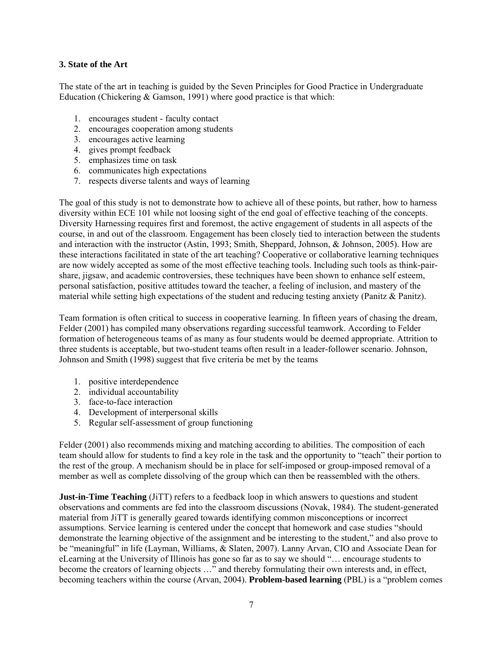## **3. State of the Art**

The state of the art in teaching is guided by the Seven Principles for Good Practice in Undergraduate Education (Chickering & Gamson, 1991) where good practice is that which:

- 1. encourages student faculty contact
- 2. encourages cooperation among students
- 3. encourages active learning
- 4. gives prompt feedback
- 5. emphasizes time on task
- 6. communicates high expectations
- 7. respects diverse talents and ways of learning

The goal of this study is not to demonstrate how to achieve all of these points, but rather, how to harness diversity within ECE 101 while not loosing sight of the end goal of effective teaching of the concepts. Diversity Harnessing requires first and foremost, the active engagement of students in all aspects of the course, in and out of the classroom. Engagement has been closely tied to interaction between the students and interaction with the instructor (Astin, 1993; Smith, Sheppard, Johnson, & Johnson, 2005). How are these interactions facilitated in state of the art teaching? Cooperative or collaborative learning techniques are now widely accepted as some of the most effective teaching tools. Including such tools as think-pairshare, jigsaw, and academic controversies, these techniques have been shown to enhance self esteem, personal satisfaction, positive attitudes toward the teacher, a feeling of inclusion, and mastery of the material while setting high expectations of the student and reducing testing anxiety (Panitz & Panitz).

Team formation is often critical to success in cooperative learning. In fifteen years of chasing the dream, Felder (2001) has compiled many observations regarding successful teamwork. According to Felder formation of heterogeneous teams of as many as four students would be deemed appropriate. Attrition to three students is acceptable, but two-student teams often result in a leader-follower scenario. Johnson, Johnson and Smith (1998) suggest that five criteria be met by the teams

- 1. positive interdependence
- 2. individual accountability
- 3. face-to-face interaction
- 4. Development of interpersonal skills
- 5. Regular self-assessment of group functioning

Felder (2001) also recommends mixing and matching according to abilities. The composition of each team should allow for students to find a key role in the task and the opportunity to "teach" their portion to the rest of the group. A mechanism should be in place for self-imposed or group-imposed removal of a member as well as complete dissolving of the group which can then be reassembled with the others.

**Just-in-Time Teaching** (JiTT) refers to a feedback loop in which answers to questions and student observations and comments are fed into the classroom discussions (Novak, 1984). The student-generated material from JiTT is generally geared towards identifying common misconceptions or incorrect assumptions. Service learning is centered under the concept that homework and case studies "should demonstrate the learning objective of the assignment and be interesting to the student," and also prove to be "meaningful" in life (Layman, Williams, & Slaten, 2007). Lanny Arvan, CIO and Associate Dean for eLearning at the University of Illinois has gone so far as to say we should "… encourage students to become the creators of learning objects …" and thereby formulating their own interests and, in effect, becoming teachers within the course (Arvan, 2004). **Problem-based learning** (PBL) is a "problem comes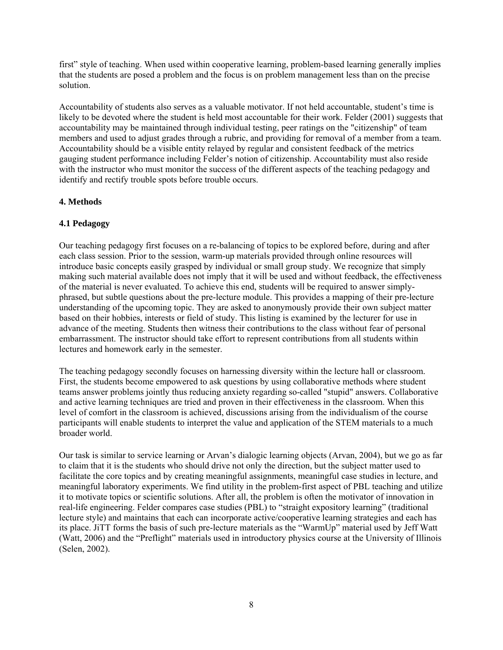first" style of teaching. When used within cooperative learning, problem-based learning generally implies that the students are posed a problem and the focus is on problem management less than on the precise solution.

Accountability of students also serves as a valuable motivator. If not held accountable, student's time is likely to be devoted where the student is held most accountable for their work. Felder (2001) suggests that accountability may be maintained through individual testing, peer ratings on the "citizenship" of team members and used to adjust grades through a rubric, and providing for removal of a member from a team. Accountability should be a visible entity relayed by regular and consistent feedback of the metrics gauging student performance including Felder's notion of citizenship. Accountability must also reside with the instructor who must monitor the success of the different aspects of the teaching pedagogy and identify and rectify trouble spots before trouble occurs.

#### **4. Methods**

# **4.1 Pedagogy**

Our teaching pedagogy first focuses on a re-balancing of topics to be explored before, during and after each class session. Prior to the session, warm-up materials provided through online resources will introduce basic concepts easily grasped by individual or small group study. We recognize that simply making such material available does not imply that it will be used and without feedback, the effectiveness of the material is never evaluated. To achieve this end, students will be required to answer simplyphrased, but subtle questions about the pre-lecture module. This provides a mapping of their pre-lecture understanding of the upcoming topic. They are asked to anonymously provide their own subject matter based on their hobbies, interests or field of study. This listing is examined by the lecturer for use in advance of the meeting. Students then witness their contributions to the class without fear of personal embarrassment. The instructor should take effort to represent contributions from all students within lectures and homework early in the semester.

The teaching pedagogy secondly focuses on harnessing diversity within the lecture hall or classroom. First, the students become empowered to ask questions by using collaborative methods where student teams answer problems jointly thus reducing anxiety regarding so-called "stupid" answers. Collaborative and active learning techniques are tried and proven in their effectiveness in the classroom. When this level of comfort in the classroom is achieved, discussions arising from the individualism of the course participants will enable students to interpret the value and application of the STEM materials to a much broader world.

Our task is similar to service learning or Arvan's dialogic learning objects (Arvan, 2004), but we go as far to claim that it is the students who should drive not only the direction, but the subject matter used to facilitate the core topics and by creating meaningful assignments, meaningful case studies in lecture, and meaningful laboratory experiments. We find utility in the problem-first aspect of PBL teaching and utilize it to motivate topics or scientific solutions. After all, the problem is often the motivator of innovation in real-life engineering. Felder compares case studies (PBL) to "straight expository learning" (traditional lecture style) and maintains that each can incorporate active/cooperative learning strategies and each has its place. JiTT forms the basis of such pre-lecture materials as the "WarmUp" material used by Jeff Watt (Watt, 2006) and the "Preflight" materials used in introductory physics course at the University of Illinois (Selen, 2002).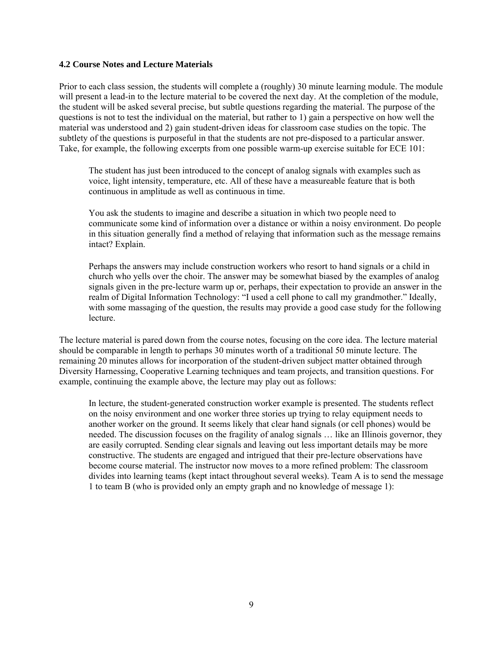#### **4.2 Course Notes and Lecture Materials**

Prior to each class session, the students will complete a (roughly) 30 minute learning module. The module will present a lead-in to the lecture material to be covered the next day. At the completion of the module, the student will be asked several precise, but subtle questions regarding the material. The purpose of the questions is not to test the individual on the material, but rather to 1) gain a perspective on how well the material was understood and 2) gain student-driven ideas for classroom case studies on the topic. The subtlety of the questions is purposeful in that the students are not pre-disposed to a particular answer. Take, for example, the following excerpts from one possible warm-up exercise suitable for ECE 101:

The student has just been introduced to the concept of analog signals with examples such as voice, light intensity, temperature, etc. All of these have a measureable feature that is both continuous in amplitude as well as continuous in time.

You ask the students to imagine and describe a situation in which two people need to communicate some kind of information over a distance or within a noisy environment. Do people in this situation generally find a method of relaying that information such as the message remains intact? Explain.

Perhaps the answers may include construction workers who resort to hand signals or a child in church who yells over the choir. The answer may be somewhat biased by the examples of analog signals given in the pre-lecture warm up or, perhaps, their expectation to provide an answer in the realm of Digital Information Technology: "I used a cell phone to call my grandmother." Ideally, with some massaging of the question, the results may provide a good case study for the following lecture.

The lecture material is pared down from the course notes, focusing on the core idea. The lecture material should be comparable in length to perhaps 30 minutes worth of a traditional 50 minute lecture. The remaining 20 minutes allows for incorporation of the student-driven subject matter obtained through Diversity Harnessing, Cooperative Learning techniques and team projects, and transition questions. For example, continuing the example above, the lecture may play out as follows:

In lecture, the student-generated construction worker example is presented. The students reflect on the noisy environment and one worker three stories up trying to relay equipment needs to another worker on the ground. It seems likely that clear hand signals (or cell phones) would be needed. The discussion focuses on the fragility of analog signals … like an Illinois governor, they are easily corrupted. Sending clear signals and leaving out less important details may be more constructive. The students are engaged and intrigued that their pre-lecture observations have become course material. The instructor now moves to a more refined problem: The classroom divides into learning teams (kept intact throughout several weeks). Team A is to send the message 1 to team B (who is provided only an empty graph and no knowledge of message 1):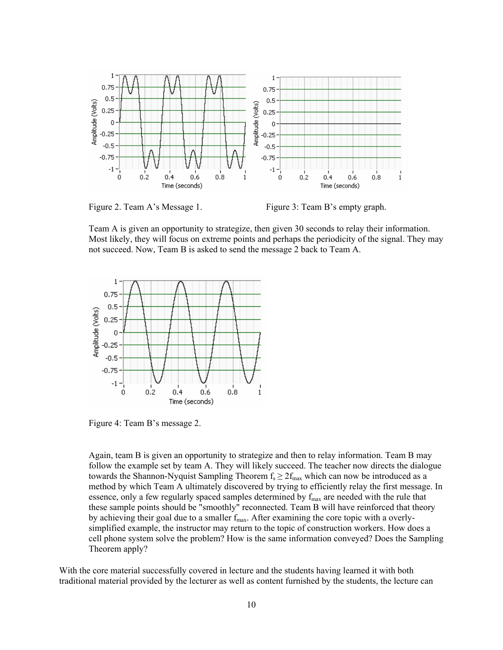

Figure 2. Team A's Message 1. Figure 3: Team B's empty graph.

Team A is given an opportunity to strategize, then given 30 seconds to relay their information. Most likely, they will focus on extreme points and perhaps the periodicity of the signal. They may not succeed. Now, Team B is asked to send the message 2 back to Team A.



Figure 4: Team B's message 2.

Again, team B is given an opportunity to strategize and then to relay information. Team B may follow the example set by team A. They will likely succeed. The teacher now directs the dialogue towards the Shannon-Nyquist Sampling Theorem  $f_s \geq 2f_{\text{max}}$  which can now be introduced as a method by which Team A ultimately discovered by trying to efficiently relay the first message. In essence, only a few regularly spaced samples determined by  $f_{\text{max}}$  are needed with the rule that these sample points should be "smoothly" reconnected. Team B will have reinforced that theory by achieving their goal due to a smaller  $f_{\text{max}}$ . After examining the core topic with a overlysimplified example, the instructor may return to the topic of construction workers. How does a cell phone system solve the problem? How is the same information conveyed? Does the Sampling Theorem apply?

With the core material successfully covered in lecture and the students having learned it with both traditional material provided by the lecturer as well as content furnished by the students, the lecture can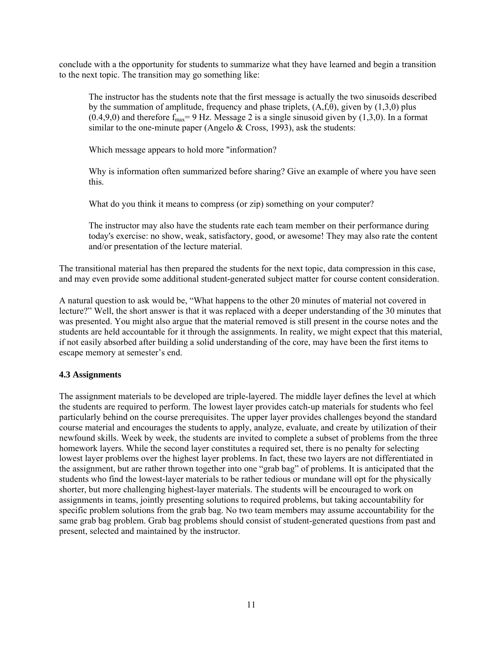conclude with a the opportunity for students to summarize what they have learned and begin a transition to the next topic. The transition may go something like:

The instructor has the students note that the first message is actually the two sinusoids described by the summation of amplitude, frequency and phase triplets,  $(A,f,\theta)$ , given by  $(1,3,0)$  plus  $(0.4,9,0)$  and therefore  $f_{max} = 9$  Hz. Message 2 is a single sinusoid given by (1,3,0). In a format similar to the one-minute paper (Angelo & Cross, 1993), ask the students:

Which message appears to hold more "information?

Why is information often summarized before sharing? Give an example of where you have seen this.

What do you think it means to compress (or zip) something on your computer?

The instructor may also have the students rate each team member on their performance during today's exercise: no show, weak, satisfactory, good, or awesome! They may also rate the content and/or presentation of the lecture material.

The transitional material has then prepared the students for the next topic, data compression in this case, and may even provide some additional student-generated subject matter for course content consideration.

A natural question to ask would be, "What happens to the other 20 minutes of material not covered in lecture?" Well, the short answer is that it was replaced with a deeper understanding of the 30 minutes that was presented. You might also argue that the material removed is still present in the course notes and the students are held accountable for it through the assignments. In reality, we might expect that this material, if not easily absorbed after building a solid understanding of the core, may have been the first items to escape memory at semester's end.

#### **4.3 Assignments**

The assignment materials to be developed are triple-layered. The middle layer defines the level at which the students are required to perform. The lowest layer provides catch-up materials for students who feel particularly behind on the course prerequisites. The upper layer provides challenges beyond the standard course material and encourages the students to apply, analyze, evaluate, and create by utilization of their newfound skills. Week by week, the students are invited to complete a subset of problems from the three homework layers. While the second layer constitutes a required set, there is no penalty for selecting lowest layer problems over the highest layer problems. In fact, these two layers are not differentiated in the assignment, but are rather thrown together into one "grab bag" of problems. It is anticipated that the students who find the lowest-layer materials to be rather tedious or mundane will opt for the physically shorter, but more challenging highest-layer materials. The students will be encouraged to work on assignments in teams, jointly presenting solutions to required problems, but taking accountability for specific problem solutions from the grab bag. No two team members may assume accountability for the same grab bag problem. Grab bag problems should consist of student-generated questions from past and present, selected and maintained by the instructor.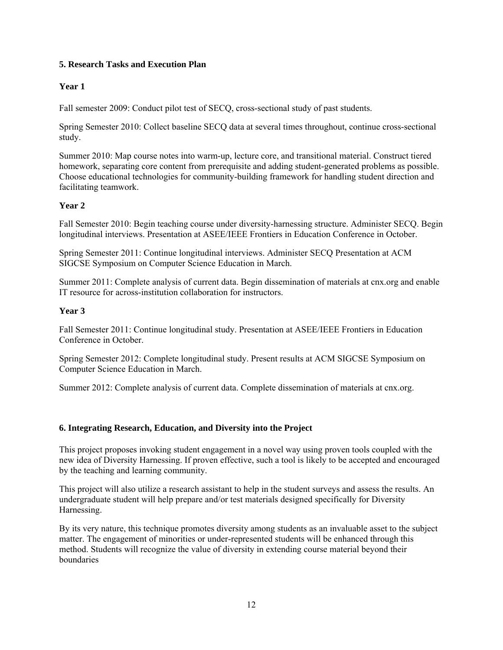## **5. Research Tasks and Execution Plan**

# **Year 1**

Fall semester 2009: Conduct pilot test of SECQ, cross-sectional study of past students.

Spring Semester 2010: Collect baseline SECQ data at several times throughout, continue cross-sectional study.

Summer 2010: Map course notes into warm-up, lecture core, and transitional material. Construct tiered homework, separating core content from prerequisite and adding student-generated problems as possible. Choose educational technologies for community-building framework for handling student direction and facilitating teamwork.

# **Year 2**

Fall Semester 2010: Begin teaching course under diversity-harnessing structure. Administer SECQ. Begin longitudinal interviews. Presentation at ASEE/IEEE Frontiers in Education Conference in October.

Spring Semester 2011: Continue longitudinal interviews. Administer SECQ Presentation at ACM SIGCSE Symposium on Computer Science Education in March.

Summer 2011: Complete analysis of current data. Begin dissemination of materials at cnx.org and enable IT resource for across-institution collaboration for instructors.

# **Year 3**

Fall Semester 2011: Continue longitudinal study. Presentation at ASEE/IEEE Frontiers in Education Conference in October.

Spring Semester 2012: Complete longitudinal study. Present results at ACM SIGCSE Symposium on Computer Science Education in March.

Summer 2012: Complete analysis of current data. Complete dissemination of materials at cnx.org.

#### **6. Integrating Research, Education, and Diversity into the Project**

This project proposes invoking student engagement in a novel way using proven tools coupled with the new idea of Diversity Harnessing. If proven effective, such a tool is likely to be accepted and encouraged by the teaching and learning community.

This project will also utilize a research assistant to help in the student surveys and assess the results. An undergraduate student will help prepare and/or test materials designed specifically for Diversity Harnessing.

By its very nature, this technique promotes diversity among students as an invaluable asset to the subject matter. The engagement of minorities or under-represented students will be enhanced through this method. Students will recognize the value of diversity in extending course material beyond their boundaries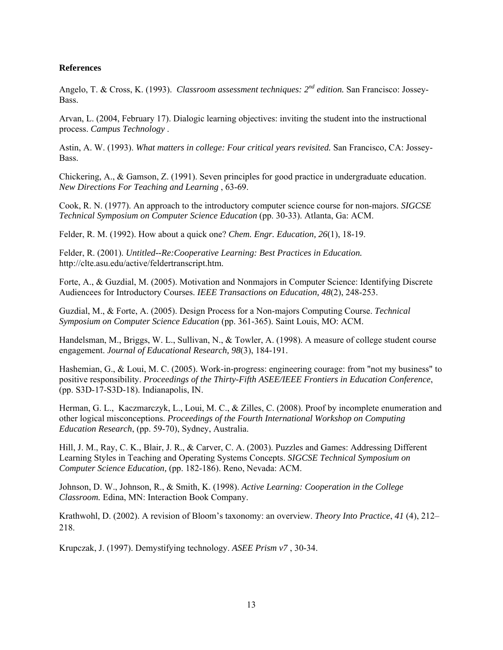## **References**

Angelo, T. & Cross, K. (1993). *Classroom assessment techniques: 2nd edition.* San Francisco: Jossey-Bass.

Arvan, L. (2004, February 17). Dialogic learning objectives: inviting the student into the instructional process. *Campus Technology* .

Astin, A. W. (1993). *What matters in college: Four critical years revisited.* San Francisco, CA: Jossey-Bass.

Chickering, A., & Gamson, Z. (1991). Seven principles for good practice in undergraduate education. *New Directions For Teaching and Learning* , 63-69.

Cook, R. N. (1977). An approach to the introductory computer science course for non-majors. *SIGCSE Technical Symposium on Computer Science Education* (pp. 30-33). Atlanta, Ga: ACM.

Felder, R. M. (1992). How about a quick one? *Chem. Engr. Education, 26*(1), 18-19.

Felder, R. (2001). *Untitled--Re:Cooperative Learning: Best Practices in Education.* http://clte.asu.edu/active/feldertranscript.htm.

Forte, A., & Guzdial, M. (2005). Motivation and Nonmajors in Computer Science: Identifying Discrete Audiencees for Introductory Courses. *IEEE Transactions on Education, 48*(2), 248-253.

Guzdial, M., & Forte, A. (2005). Design Process for a Non-majors Computing Course. *Technical Symposium on Computer Science Education* (pp. 361-365). Saint Louis, MO: ACM.

Handelsman, M., Briggs, W. L., Sullivan, N., & Towler, A. (1998). A measure of college student course engagement. *Journal of Educational Research, 98*(3), 184-191.

Hashemian, G., & Loui, M. C. (2005). Work-in-progress: engineering courage: from "not my business" to positive responsibility. *Proceedings of the Thirty-Fifth ASEE/IEEE Frontiers in Education Conference*, (pp. S3D-17-S3D-18). Indianapolis, IN.

Herman, G. L., Kaczmarczyk, L., Loui, M. C., & Zilles, C. (2008). Proof by incomplete enumeration and other logical misconceptions. *Proceedings of the Fourth International Workshop on Computing Education Research*, (pp. 59-70), Sydney, Australia.

Hill, J. M., Ray, C. K., Blair, J. R., & Carver, C. A. (2003). Puzzles and Games: Addressing Different Learning Styles in Teaching and Operating Systems Concepts. *SIGCSE Technical Symposium on Computer Science Education,* (pp. 182-186). Reno, Nevada: ACM.

Johnson, D. W., Johnson, R., & Smith, K. (1998). *Active Learning: Cooperation in the College Classroom.* Edina, MN: Interaction Book Company.

Krathwohl, D. (2002). A revision of Bloom's taxonomy: an overview. *Theory Into Practice*, *41* (4), 212– 218.

Krupczak, J. (1997). Demystifying technology. *ASEE Prism v7* , 30-34.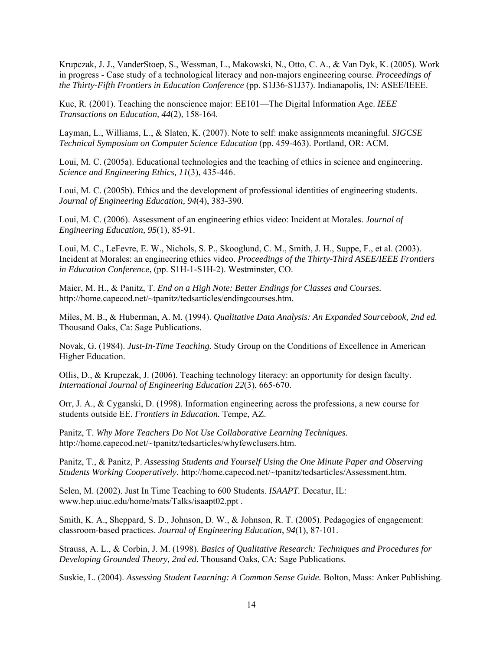Krupczak, J. J., VanderStoep, S., Wessman, L., Makowski, N., Otto, C. A., & Van Dyk, K. (2005). Work in progress - Case study of a technological literacy and non-majors engineering course. *Proceedings of the Thirty-Fifth Frontiers in Education Conference* (pp. S1J36-S1J37). Indianapolis, IN: ASEE/IEEE.

Kuc, R. (2001). Teaching the nonscience major: EE101—The Digital Information Age. *IEEE Transactions on Education, 44*(2), 158-164.

Layman, L., Williams, L., & Slaten, K. (2007). Note to self: make assignments meaningful. *SIGCSE Technical Symposium on Computer Science Education* (pp. 459-463). Portland, OR: ACM.

Loui, M. C. (2005a). Educational technologies and the teaching of ethics in science and engineering. *Science and Engineering Ethics, 11*(3), 435-446.

Loui, M. C. (2005b). Ethics and the development of professional identities of engineering students. *Journal of Engineering Education, 94*(4), 383-390.

Loui, M. C. (2006). Assessment of an engineering ethics video: Incident at Morales. *Journal of Engineering Education, 95*(1), 85-91.

Loui, M. C., LeFevre, E. W., Nichols, S. P., Skooglund, C. M., Smith, J. H., Suppe, F., et al. (2003). Incident at Morales: an engineering ethics video. *Proceedings of the Thirty-Third ASEE/IEEE Frontiers in Education Conference*, (pp. S1H-1-S1H-2). Westminster, CO.

Maier, M. H., & Panitz, T. *End on a High Note: Better Endings for Classes and Courses.* http://home.capecod.net/~tpanitz/tedsarticles/endingcourses.htm.

Miles, M. B., & Huberman, A. M. (1994). *Qualitative Data Analysis: An Expanded Sourcebook, 2nd ed.* Thousand Oaks, Ca: Sage Publications.

Novak, G. (1984). *Just-In-Time Teaching.* Study Group on the Conditions of Excellence in American Higher Education.

Ollis, D., & Krupczak, J. (2006). Teaching technology literacy: an opportunity for design faculty. *International Journal of Engineering Education 22*(3), 665-670.

Orr, J. A., & Cyganski, D. (1998). Information engineering across the professions, a new course for students outside EE. *Frontiers in Education.* Tempe, AZ.

Panitz, T. *Why More Teachers Do Not Use Collaborative Learning Techniques.* http://home.capecod.net/~tpanitz/tedsarticles/whyfewclusers.htm.

Panitz, T., & Panitz, P. *Assessing Students and Yourself Using the One Minute Paper and Observing Students Working Cooperatively.* http://home.capecod.net/~tpanitz/tedsarticles/Assessment.htm.

Selen, M. (2002). Just In Time Teaching to 600 Students. *ISAAPT.* Decatur, IL: www.hep.uiuc.edu/home/mats/Talks/isaapt02.ppt .

Smith, K. A., Sheppard, S. D., Johnson, D. W., & Johnson, R. T. (2005). Pedagogies of engagement: classroom-based practices. *Journal of Engineering Education*, *94*(1), 87-101.

Strauss, A. L., & Corbin, J. M. (1998). *Basics of Qualitative Research: Techniques and Procedures for Developing Grounded Theory, 2nd ed.* Thousand Oaks, CA: Sage Publications.

Suskie, L. (2004). *Assessing Student Learning: A Common Sense Guide.* Bolton, Mass: Anker Publishing.